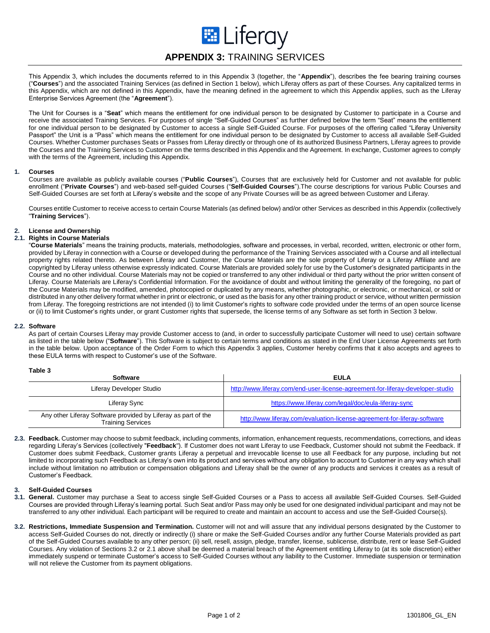

This Appendix 3, which includes the documents referred to in this Appendix 3 (together, the "**Appendix**"), describes the fee bearing training courses ("**Courses**") and the associated Training Services (as defined in Section 1 below), which Liferay offers as part of these Courses. Any capitalized terms in this Appendix, which are not defined in this Appendix, have the meaning defined in the agreement to which this Appendix applies, such as the Liferay Enterprise Services Agreement (the "**Agreement**").

The Unit for Courses is a "**Seat**" which means the entitlement for one individual person to be designated by Customer to participate in a Course and receive the associated Training Services. For purposes of single "Self-Guided Courses" as further defined below the term "Seat" means the entitlement for one individual person to be designated by Customer to access a single Self-Guided Course. For purposes of the offering called "Liferay University Passport" the Unit is a "Pass" which means the entitlement for one individual person to be designated by Customer to access all available Self-Guided Courses. Whether Customer purchases Seats or Passes from Liferay directly or through one of its authorized Business Partners, Liferay agrees to provide the Courses and the Training Services to Customer on the terms described in this Appendix and the Agreement. In exchange, Customer agrees to comply with the terms of the Agreement, including this Appendix.

### **1. Courses**

Courses are available as publicly available courses ("**Public Courses**"), Courses that are exclusively held for Customer and not available for public enrollment ("**Private Courses**") and web-based self-guided Courses ("**Self-Guided Courses**").The course descriptions for various Public Courses and Self-Guided Courses are set forth at Liferay's website and the scope of any Private Courses will be as agreed between Customer and Liferay.

Courses entitle Customer to receive access to certain Course Materials (as defined below) and/or other Services as described in this Appendix (collectively "**Training Services**").

# **2. License and Ownership**

## **2.1. Rights in Course Materials**

"**Course Materials**" means the training products, materials, methodologies, software and processes, in verbal, recorded, written, electronic or other form, provided by Liferay in connection with a Course or developed during the performance of the Training Services associated with a Course and all intellectual property rights related thereto. As between Liferay and Customer, the Course Materials are the sole property of Liferay or a Liferay Affiliate and are copyrighted by Liferay unless otherwise expressly indicated. Course Materials are provided solely for use by the Customer's designated participants in the Course and no other individual. Course Materials may not be copied or transferred to any other individual or third party without the prior written consent of Liferay. Course Materials are Liferay's Confidential Information. For the avoidance of doubt and without limiting the generality of the foregoing, no part of the Course Materials may be modified, amended, photocopied or duplicated by any means, whether photographic, or electronic, or mechanical, or sold or distributed in any other delivery format whether in print or electronic, or used as the basis for any other training product or service, without written permission from Liferay. The foregoing restrictions are not intended (i) to limit Customer's rights to software code provided under the terms of an open source license or (ii) to limit Customer's rights under, or grant Customer rights that supersede, the license terms of any Software as set forth in Section 3 below.

## **2.2. Software**

As part of certain Courses Liferay may provide Customer access to (and, in order to successfully participate Customer will need to use) certain software as listed in the table below ("**Software**"). This Software is subject to certain terms and conditions as stated in the End User License Agreements set forth in the table below. Upon acceptance of the Order Form to which this Appendix 3 applies, Customer hereby confirms that it also accepts and agrees to these EULA terms with respect to Customer's use of the Software.

**Table 3**

| <b>Software</b>                                                                           | <b>EULA</b>                                                                    |
|-------------------------------------------------------------------------------------------|--------------------------------------------------------------------------------|
| Liferay Developer Studio                                                                  | http://www.liferay.com/end-user-license-agreement-for-liferay-developer-studio |
| Liferay Sync                                                                              | https://www.liferay.com/legal/doc/eula-liferay-sync                            |
| Any other Liferay Software provided by Liferay as part of the<br><b>Training Services</b> | http://www.liferay.com/evaluation-license-agreement-for-liferay-software       |

**2.3. Feedback.** Customer may choose to submit feedback, including comments, information, enhancement requests, recommendations, corrections, and ideas regarding Liferay's Services (collectively "**Feedback**"). If Customer does not want Liferay to use Feedback, Customer should not submit the Feedback. If Customer does submit Feedback, Customer grants Liferay a perpetual and irrevocable license to use all Feedback for any purpose, including but not limited to incorporating such Feedback as Liferay's own into its product and services without any obligation to account to Customer in any way which shall include without limitation no attribution or compensation obligations and Liferay shall be the owner of any products and services it creates as a result of Customer's Feedback.

## **3. Self-Guided Courses**

- **3.1. General.** Customer may purchase a Seat to access single Self-Guided Courses or a Pass to access all available Self-Guided Courses. Self-Guided Courses are provided through Liferay's learning portal. Such Seat and/or Pass may only be used for one designated individual participant and may not be transferred to any other individual. Each participant will be required to create and maintain an account to access and use the Self-Guided Course(s).
- **3.2. Restrictions, Immediate Suspension and Termination.** Customer will not and will assure that any individual persons designated by the Customer to access Self-Guided Courses do not, directly or indirectly (i) share or make the Self-Guided Courses and/or any further Course Materials provided as part of the Self-Guided Courses available to any other person; (ii) sell, resell, assign, pledge, transfer, license, sublicense, distribute, rent or lease Self-Guided Courses. Any violation of Sections 3.2 or 2.1 above shall be deemed a material breach of the Agreement entitling Liferay to (at its sole discretion) either immediately suspend or terminate Customer's access to Self-Guided Courses without any liability to the Customer. Immediate suspension or termination will not relieve the Customer from its payment obligations.